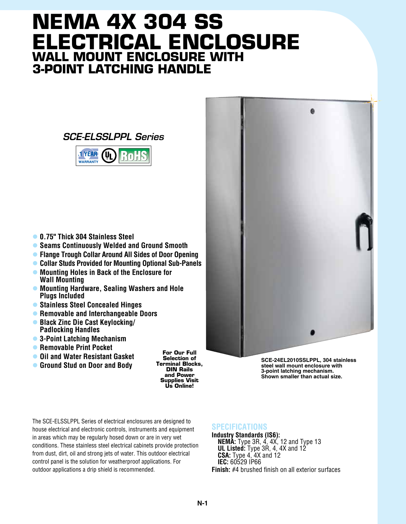## **NEMA 4X 304 SS Electrical Enclosure Wall Mount Enclosure with 3-Point Latching Handle**





- l **0.75" Thick 304 Stainless Steel**
- **Seams Continuously Welded and Ground Smooth**
- **Flange Trough Collar Around All Sides of Door Opening**
- **Collar Studs Provided for Mounting Optional Sub-Panels**
- l **Mounting Holes in Back of the Enclosure for Wall Mounting**
- l **Mounting Hardware, Sealing Washers and Hole Plugs Included**
- l **Stainless Steel Concealed Hinges**
- **Removable and Interchangeable Doors**
- **Black Zinc Die Cast Keylocking/ Padlocking Handles**
- **3-Point Latching Mechanism**
- **Removable Print Pocket**
- **Oil and Water Resistant Gasket**
- **C** Ground Stud on Door and Body

**For Our Full Selection of Terminal Blocks, DIN Rails and Power Supplies Visit Us Online!**

**SCE-24EL2010SSLPPL, 304 stainless steel wall mount enclosure with 3-point latching mechanism. Shown smaller than actual size.**

The SCE-ELSSLPPL Series of electrical enclosures are designed to house electrical and electronic controls, instruments and equipment in areas which may be regularly hosed down or are in very wet conditions. These stainless steel electrical cabinets provide protection from dust, dirt, oil and strong jets of water. This outdoor electrical control panel is the solution for weatherproof applications. For outdoor applications a drip shield is recommended.

## **SPECIFICATIONS**

**Industry Standards (IS6): NEMA:** Type 3R, 4, 4X, 12 and Type 13 **UL Listed:** Type 3R, 4, 4X and 12 **CSA:** Type 4, 4X and 12 **IEC:** 60529 IP66 **Finish:** #4 brushed finish on all exterior surfaces